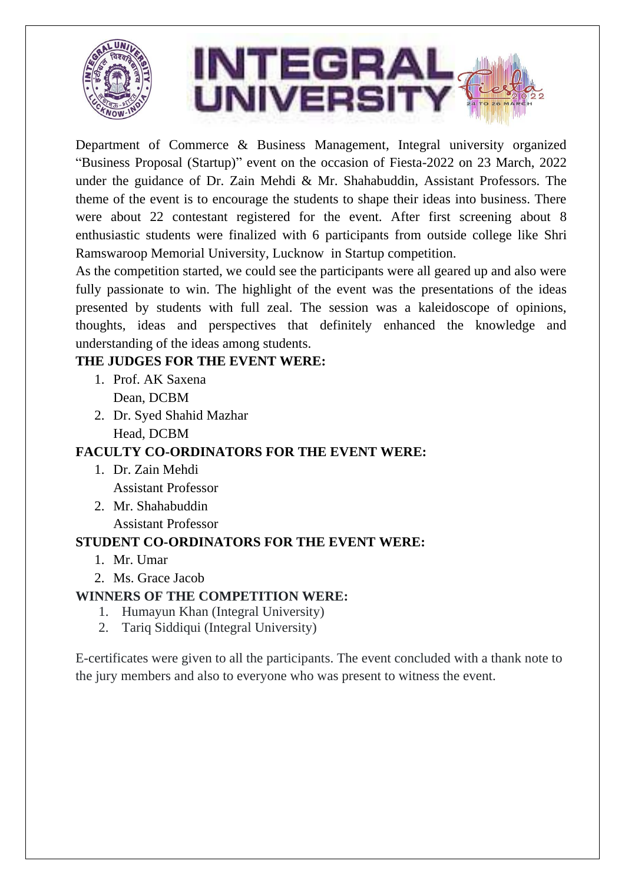

Department of Commerce & Business Management, Integral university organized "Business Proposal (Startup)" event on the occasion of Fiesta-2022 on 23 March, 2022 under the guidance of Dr. Zain Mehdi & Mr. Shahabuddin, Assistant Professors. The theme of the event is to encourage the students to shape their ideas into business. There were about 22 contestant registered for the event. After first screening about 8 enthusiastic students were finalized with 6 participants from outside college like Shri Ramswaroop Memorial University, Lucknow in Startup competition.

As the competition started, we could see the participants were all geared up and also were fully passionate to win. The highlight of the event was the presentations of the ideas presented by students with full zeal. The session was a kaleidoscope of opinions, thoughts, ideas and perspectives that definitely enhanced the knowledge and understanding of the ideas among students.

### **THE JUDGES FOR THE EVENT WERE:**

- 1. Prof. AK Saxena Dean, DCBM
- 2. Dr. Syed Shahid Mazhar Head, DCBM

## **FACULTY CO-ORDINATORS FOR THE EVENT WERE:**

- 1. Dr. Zain Mehdi Assistant Professor
- 2. Mr. Shahabuddin Assistant Professor

#### **STUDENT CO-ORDINATORS FOR THE EVENT WERE:**

- 1. Mr. Umar
- 2. Ms. Grace Jacob

#### **WINNERS OF THE COMPETITION WERE:**

- 1. Humayun Khan (Integral University)
- 2. Tariq Siddiqui (Integral University)

E-certificates were given to all the participants. The event concluded with a thank note to the jury members and also to everyone who was present to witness the event.